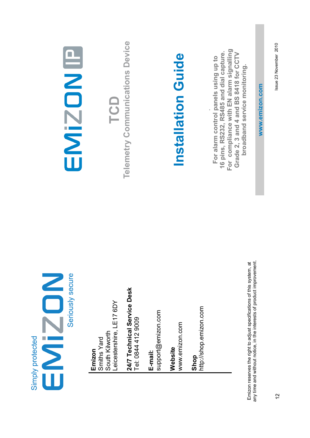|                  | Seriously secure |
|------------------|------------------|
| Simply protected |                  |

Leicestershire, LE17 6DY eicestershire, LE17 6DY South Kilworth South Kilworth Smiths Yard **Emizon**<br>Smiths Yard

**24/7 Technical Service Desk**  24/7 Technical Service Desk Tel: 0844 412 9009 Tel: 0844 412 9009

**E-mail:**  support@emizon.com

www.emizon.com www.emizon.com **Website** 

**Shop**<br>http://shop.emizon.com http://shop.emizon.com

any time and without notice, in the interests of product improvement. Emizon reserves the right to adjust specifications of this system, at<br>any time and without notice, in the interests of product improvement. Emizon reserves the right to adjust specifications of this system, at

# EMIZON

**TCD**<br> **Telemetry Communications Device Telemetry Communications Device** 

# **Installation Guide**  Installation Guide

**For compliance with EN alarm signalling**  For compliance with EN alarm signalling **16 pins, RS232, RS485 and dial capture. Grade 2, 3 and 4 and BS 8418 for CCTV**  16 pins, RS232, RS485 and dial capture. Grade 2, 3 and 4 and BS 8418 for CCTV **For alarm control panels using up to**  For alarm control panels using up to broadband service monitoring. **broadband service monitoring.**

**www.emizon.com** www.emizon.com Issue 23 November 2010 Issue 23 November 2010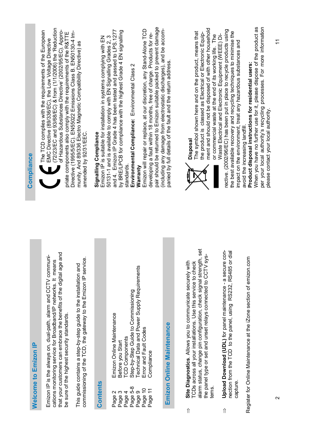| <b>Welcome to Emizon IP</b>                                                                                                                                                                                                                                                               | Compliance                                                                                                                                                                                                                                                                                                |
|-------------------------------------------------------------------------------------------------------------------------------------------------------------------------------------------------------------------------------------------------------------------------------------------|-----------------------------------------------------------------------------------------------------------------------------------------------------------------------------------------------------------------------------------------------------------------------------------------------------------|
| that your customers can embrace the benefits of the digital age and<br>Emizon IP is the always on, dual-path, alarm and CCTV communi-<br>cations monitoring service for Broadband/IP networks. It means<br>be sure of the highest security standards.                                     | (72/23/EC and 93/68/EC) & from (1/1/2006) the 'Reduction<br>of Hazardous Substances Directive' (2002/95/EC). Appro-<br>The TCD complies with the requirements of the European<br>priate components also comply with the requirements of the R&TTE<br>EMC Directive (89/336/EC), the Low Voltage Directive |
| commissioning of the TCD, the gateway to the Emizon IP service.<br>This guide contains a step-by-step guide to the installation and                                                                                                                                                       | Directive (1995/5/EC). EN55022 Emissions Class B. EN50130-4 Im-<br>munity. And 89/336 Electro Magnetic Compatibility Directive) as<br>amended by 92/31/EEC.                                                                                                                                               |
| <b>Contents</b>                                                                                                                                                                                                                                                                           | Emizon IP is suitable for installation in systems complying with EN<br>Signalling Compliance                                                                                                                                                                                                              |
| Emizon Online Maintenance<br><b>TCD Components</b><br>Before you Start<br>4<br>Page 2<br>Page 3<br>Page <sup>4</sup>                                                                                                                                                                      | and 4. Emizon IP Grade 4 has been tested and passed to LPS.1277<br>by BRE/LPCB for compliance with the highest Grade 4 EN signalling<br>50131-1 and is available to comply with EN Signalling Grades 2, 3<br>standards.                                                                                   |
| Technical Data and Power Supply Requirements<br>Step-by-Step Guide to Commissioning<br>Error and Fault Codes<br>Compliance<br>Page 5-8<br>Page 10<br>Page 9<br>Page                                                                                                                       | pair should be returned to Emizon suitable packed to prevent damage<br>Emizon will repair or replace, at our discretion, any Stand-Alone TCD<br>developing a fault within 18 months, free of charge. Products for re-<br>Environmental Compliance: Environmental Class 2<br>Warranty                      |
| <b>Online Maintenance</b><br>Emizon                                                                                                                                                                                                                                                       | (including any damage from electrostatic discharges), and be accom-<br>panied by full details of the fault and the return address.                                                                                                                                                                        |
| alarm status, change pin configuration, check signal strength, set<br>the panel type or set and unset relays connected to CCTV sys-<br>Site Diagnostics. Allows you to communicate securely with<br>TCDs across all your installations. Use this service to check<br>tems.<br>$\hat{\Pi}$ | ment and should not be disposed of with other household<br>The symbol shown here and on the product, means that<br>the product is classed as Electrical or Electronic Equip-<br>or commercial waste at the end of its working life. The<br><b>Disposal</b>                                                |
| Upload Download (UDL) for panel maintenance - a secure con-<br>त्त<br>nection from the TCD to the panel, using RS232, RS485 or di<br>capture<br>⇑                                                                                                                                         | rective. (2002/96/EC) has been put in place to recycle products using<br>the best available recovery and recycling techniques to minimise the<br>Waste Electrical and Electronic Equipment (WEEE) Di-<br>impact on the environment, treat any hazardous substances and                                    |
| Register for Online Maintenance at the iZone section of emizon.com                                                                                                                                                                                                                        | When you have no further use for it, please dispose of the product as<br>per your local authority's recycling processes. For more information<br>Product disposal instructions for residential users:<br>please contact your local authority.<br>avoid the increasing landfill.                           |

 $\hat{\mathbb{I}}$ 

 $\hat{\mathbb{I}}$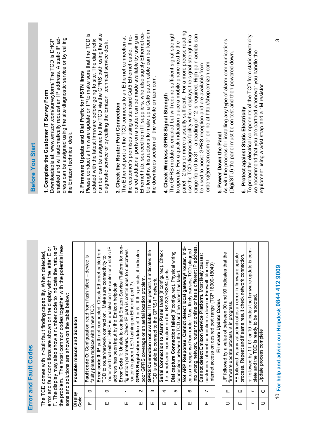| Í      |
|--------|
|        |
|        |
| ∍      |
| ŕ      |
|        |
|        |
| t      |
|        |
|        |
| ĺ<br>i |
|        |
|        |
|        |
|        |

F. The display may also show a number code to indicate the nature of the problem. The most common codes together with the potential rea-F. The display may also show a number code to indicate the nature of the problem. The most common codes together with the potential reaerror and fault conditions are shown on the display with the letter E or error and fault conditions are shown on the display with the letter E or The TCD comes with in-built fault finding capability. When detected, The TCD comes with in-built fault finding capability. When detected, sons and solutions are shown on the table below: sons and solutions are shown on the table below:

| Display<br>Code          |                          | Possible reason and Solution                                                                                                                                                                                                                          |
|--------------------------|--------------------------|-------------------------------------------------------------------------------------------------------------------------------------------------------------------------------------------------------------------------------------------------------|
| Щ                        | $\circ$                  | Fault code O: Configuration read from flash failed - device is<br>faulty please replace with a new TCD.                                                                                                                                               |
| ш                        | 0                        | router and that either DHCP is enabled on the router or a static IP<br>Error code 0: IP path not connected. Check Ethemet cable from<br>TCD to router/network connection. Make sure connectivity to<br>address has been input by the Emizon helpdesk. |
| Ш                        | ᠇                        | Error Code 1: Unable to contact Emizon Service Platform for con-<br>figuration parameters. Check IP path is continuous to customers<br>router (is green LED flashing on Ethernet port?).                                                              |
| Ш                        | $\sim$                   | GPRS Registration state not 1 or 5. If this persists, it indicates<br>poor GPRS coverage or an aerial location problem.                                                                                                                               |
| ш                        | ო                        | GPRS Connection not available. If this persists it indicates the<br>TCD is unable to connect to the GPRS IP network.                                                                                                                                  |
| ш                        | 4                        | Serial Connection to Alarm Panel failed (if configured). Check<br>the panel serial connection on the RS232/RS384 ports.                                                                                                                               |
| Ш                        | 5                        | Dial capture Connection failed (if configured). Physical wiring<br>connection between the TCD and the panel has failed.                                                                                                                               |
| ш                        | ဖ                        | nto wrong network, router not online or has a different IP address.<br>Not ARP Response. Cannot detect local gateway/ router. Indi-<br>cates no response from router. Most likely causes; TCD plugged                                                 |
| ш                        | Ľ                        | Cannot detect Emizon Service Platform. Most likely causes;<br>customers internet connection is down or Firewall blocking<br>internet access on desired port range (TCP 18000-18049)                                                                   |
|                          |                          | Firmware Update Codes                                                                                                                                                                                                                                 |
| ⊃                        | щ                        | UF followed by a value of between 00 and 99 indicates that the<br>firmware update process is in progress.                                                                                                                                             |
| Щ                        | Ш                        | FE followed by any value indicates an error in firmware update<br>process. Repeat and if same result check network connection.                                                                                                                        |
| $\overline{\phantom{0}}$ | $\overline{\phantom{0}}$ | rr followed by 11, 01 or 10 indicates the firmware update is com-<br>plete and the TCD is ready to be rebooted.                                                                                                                                       |
| $\supset$                | $\circ$                  | Update process complete                                                                                                                                                                                                                               |

# 10 For help and advice our Helpdesk 0844 412 9009 **For help and advice our Helpdesk 0844 412 9009**

#### Before You Start **Before You Start**

# **1. Complete the Customer IT Survey Form**  1. Complete the Customer IT Survey Form

enabled and will automatically request an IP address. A static IP address can be assigned using the site diagnostic service or by calling Downloadable at: www.emizon.com/surveyform/ The TCD is DHCP enabled and will automatically request an IP address. A static IP address can be assigned using the site diagnostic service or by calling Downloadable at: www.emizon.com/surveyform/ The TCD is DHCP the Emizon technical desk. the Emizon technical desk.

# 2. Firmware Update and Dial Prefix for PSTN lines **2. Firmware Update and Dial Prefix for PSTN lines**

number can be assigned to the TCD via the GPRS path using the site Please conduct a firmware update on IP to make sure that the TCD is number can be assigned to the TCD via the GPRS path using the site Please conduct a firmware update on IP to make sure that the TCD is updated with the latest firmware before going to site. The dial prefix updated with the latest firmware before going to site**.** The dial prefix diagnostic service or by calling the Emizon technical service desk. diagnostic service or by calling the Emizon technical service desk.

### **3. Check the Router Port Connection**  3. Check the Router Port Connection

ole lengths. Instructions to make up a Cat5 patch cable can be found in ble lengths. Instructions to make up a Cat5 patch cable can be found in Ethernet hub, sourced from IT suppliers, who also supply Ethernet ca-Ethernet hub, sourced from IT suppliers, who also supply Ethernet caquired additional ports on a router can be made available by using an quired additional ports on a router can be made available by using an the customer's premises using a standard Cat5 Ethernet cable. If re-The Ethernet port on the TCD connects to an Ethernet connection at the customer's premises using a standard Cat5 Ethernet cable. If re-The Ethernet port on the TCD connects to an Ethernet connection at the downloads section of the website emizon.com. the downloads section of the website emizon.com.

### **4. Check Wireless GPRS Signal Strength**  4. Check Wireless GPRS Signal Strength

panel - 2 bars or more is usually sufficient. For a more precise reading panel - 2 bars or more is usually sufficient. For a more precise reading The GPRS module is enabled but will require sufficient signal strength range from 0 to 31—a reading of 12 is required. High gain aerials can The GPRS module is enabled but will require sufficient signal strength use the TCD diagnostic facility which displays the signal strength in a use the TCD diagnostic facility which displays the signal strength in a range from 0 to 31-a reading of 12 is required. High gain aerials can to operate. For a quick indication place a mobile phone next to the to operate. For a quick indication place a mobile phone next to the be used to boost GPRS reception and are available from: orders@emizon.com or online at http://shop.emizon.com be used to boost GPRS reception and are available from: orders@emizon.com or online at http://shop.emizon.com

#### 5. Power Down the Panel **5. Power Down the Panel**

As with the process for installing any type of alarm communications<br>(Digi/STU) the panel must be on test and then powered down. As with the process for installing any type of alarm communications (Digi/STU) the panel must be on test and then powered down.

# **6. Protect against Static Electricity**

To protect the electrical components of the TCD from static electricity 6. Protect against Static Electricity<br>To protect the electrical components of the TCD from static electricity we recommend that you are earthed whenever you handle the we recommend that you are earthed whenever you handle the equipment using a wrist strap and a 1M resistor. equipment using a wrist strap and a 1M resistor.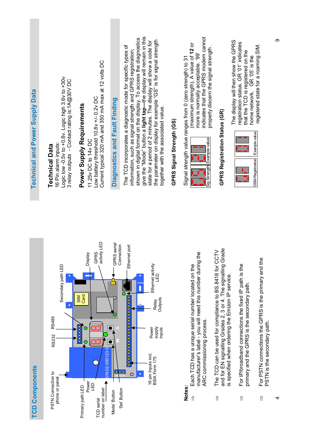| <b>Technical and Power Supply Data</b> | Logic low -0.5v to +0.8v. Logic high 3.6v to +30v<br>3 relay outputs - Contact rating is:1A@30V DC<br>16 Pin alarm inputs:<br><b>Technical Data</b> | Current typical 320 mA and 350 mA max at 12 volts DC<br>Low battery threshold 10.8v +/- 0.2v DC<br>Power Supply Requirements<br>11.25v DC to 14v DC                                | Diagnostics and Fault Finding             | give the "Mode" button a light tap-the display will remain in this<br>shown in digital format on the display. To access the diagnostics<br>the parameter on display for example "GS" is for signal strength<br>state for a period of 2 minutes. The display will show a code for<br>The TCD incorporates a diagnostic mode for specific types of<br>information, such as signal strength and GPRS registration;<br>together with the associated value. | GPRS Signal Strength (GS) | indicates that the GPRS modem cannot<br>(maximum strength). A value of 12 or<br>properly discern the signal strength<br>more is normally acceptable. '99'<br>Signal strength value ranges from 0 (zero strength) to 31<br>Example value<br>Sig Strength | GPRS Registration Status (GR)                                                                                                                                                              | The display will then show the GPRS<br>registration status. GR '01' indicates<br>that the TCD is registered on the<br>home network. GR '05' is the | registered state for a roaming SIM.<br>GSM Registration   Example value                            |
|----------------------------------------|-----------------------------------------------------------------------------------------------------------------------------------------------------|------------------------------------------------------------------------------------------------------------------------------------------------------------------------------------|-------------------------------------------|--------------------------------------------------------------------------------------------------------------------------------------------------------------------------------------------------------------------------------------------------------------------------------------------------------------------------------------------------------------------------------------------------------------------------------------------------------|---------------------------|---------------------------------------------------------------------------------------------------------------------------------------------------------------------------------------------------------------------------------------------------------|--------------------------------------------------------------------------------------------------------------------------------------------------------------------------------------------|----------------------------------------------------------------------------------------------------------------------------------------------------|----------------------------------------------------------------------------------------------------|
| <b>TCD Components</b>                  | Secondary path LED<br>$\bullet$<br>RS485<br>RS232<br>PSTN Connection to<br>phone or panel                                                           | LED<br>activity<br><b>Display</b><br>GPRS<br>Card<br>SIM<br>$\overline{00000}$<br>S/N:02-000123-0<br>Power<br><b>G</b><br>Primary path LED<br>number on label<br><b>TCD</b> serial | GPRS aerial<br>Connection<br>Mode' Button | Ethernet port<br>Ethernet activity<br>81<br><u> Ψοροοοροοοροοοροοοροοδο</u><br>Outputs<br>Relay<br><b>supply</b><br>Power<br>inputs<br>16 pin Inputs incl.<br>BSIA Form 175<br>$\overline{\mathsf{O}}$<br>$\circ$<br>'Set' Button                                                                                                                                                                                                                      |                           | manufacturer's label - you will need this number during the<br>Each TCD has a unique serial number located on the<br>ARC commissioning process.<br>Notes:<br>⇑                                                                                          | and for EN signalling Grades 2, 3 or 4. The signalling Grade<br>The TCD can be used for compliance to BS.8418 for CCTV<br>is specified when ordering the Emizon IP service.<br>$\hat{\Pi}$ | For IP/broadband connections the fixed IP path is the<br>primary and the GPRS is the secondary path.<br>$\hat{\Pi}$                                | For PSTN connections the GPRS is the primary and the<br>PSTN is the secondary path.<br>$\hat{\Pi}$ |

4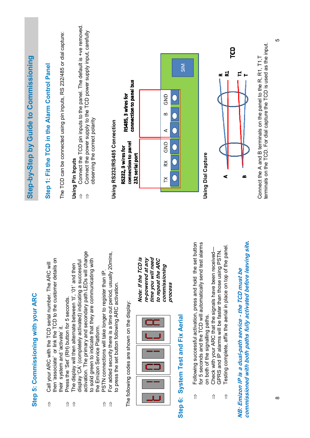| Step 5: Commissioning with your ARC                                                                                                                                                                                                                                                                     |                                                                                     |                                                              | Step-by-Step by Guide to Commissioning                                                                                                    |                       |
|---------------------------------------------------------------------------------------------------------------------------------------------------------------------------------------------------------------------------------------------------------------------------------------------------------|-------------------------------------------------------------------------------------|--------------------------------------------------------------|-------------------------------------------------------------------------------------------------------------------------------------------|-----------------------|
| then 'associate' or link the TCD to the customer details on<br>Call your ARC with the TCD serial number. The ARC will<br>$\hat{\Pi}$                                                                                                                                                                    |                                                                                     |                                                              | Step 1: Fit the TCD in the Alarm Control Panel                                                                                            |                       |
| Press the 'Set' (RH) button for 5 seconds.<br>system and 'activate' it.<br>their<br>$\Uparrow$                                                                                                                                                                                                          |                                                                                     |                                                              | The TCD can be connected using pin inputs, RS 232/485 or dial capture:                                                                    |                       |
| activation. The primary and secondary path LEDs will change<br>to solid green to indicate that they are communicating with<br>display 'CA' (completely activated) indicating a successful<br>The display will then alternate between 'tl', '01' and then<br>the Emizon Service Platform.<br>$\hat{\Pi}$ | $\hat{\mathbb{I}}$<br>$\hat{\mathbb{I}}$                                            | observing the correct polarity<br>Using Pin Inputs           | Connect the TCD pin inputs to the panel. The default is +ve removed.<br>Connect the power supply to the TCD power supply input, carefully |                       |
| For added security there is a time out period, usually 20mins,<br>PSTN connections will take longer to register than IP<br>to press the set button following ARC activation.<br>$\hat{\Pi}$<br>$\hat{\Pi}$                                                                                              |                                                                                     | Using RS232/RS485 Connection                                 |                                                                                                                                           |                       |
| The following codes are shown on the display:                                                                                                                                                                                                                                                           |                                                                                     | connection to panel<br>RS232, 3 wires for<br>232 serial port | connection to panel bus<br>RS485, 3 wires for                                                                                             |                       |
|                                                                                                                                                                                                                                                                                                         | Note: If the TCD is<br>time you will need<br>re-powered at any<br>to repeat the ARC |                                                              |                                                                                                                                           |                       |
| commissioning<br>process                                                                                                                                                                                                                                                                                |                                                                                     | GND<br>≳<br>ř                                                | GND<br>≏<br>⋖                                                                                                                             |                       |
| <b>System Test and Fix Aerial</b><br>Step 6:                                                                                                                                                                                                                                                            |                                                                                     |                                                              |                                                                                                                                           | $\overline{\text{S}}$ |
| Following successful activation, press and hold the set button<br>for 5 seconds and the TCD will automatically send test alarms<br>on both of the signalling paths.<br>$\hat{\Pi}$                                                                                                                      |                                                                                     | <b>Using Dial Capture</b>                                    |                                                                                                                                           |                       |
| Testing complete, affix the aerial in place on top of the panel<br>Check with your ARC that the signals have been received-<br>GPRS and IP alarms will be faster than those using PSTN<br>$\hat{\Pi}$<br>$\hat{\Pi}$                                                                                    |                                                                                     | ď                                                            |                                                                                                                                           | <u>ဉ</u><br>묜<br>œ    |
| commissioned with both paths fully activated before leaving site<br>NB: Emizon IP is a dual-path service - the TCD must be                                                                                                                                                                              |                                                                                     | ø                                                            |                                                                                                                                           |                       |
|                                                                                                                                                                                                                                                                                                         |                                                                                     |                                                              | terminals on the TCD. For dial capture the TCD is used as the input.<br>Connect the A and B terminals on the panel to the R, R1, T1, T    |                       |

 $\infty$ 

 $\overline{5}$